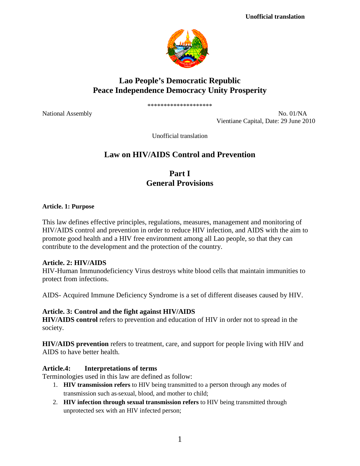

# **Lao People's Democratic Republic Peace Independence Democracy Unity Prosperity**

\*\*\*\*\*\*\*\*\*\*\*\*\*\*\*\*\*\*\*\*

National Assembly No. 01/NA Vientiane Capital, Date: 29 June 2010

Unofficial translation

# **Law on HIV/AIDS Control and Prevention**

**Part I General Provisions**

#### **Article. 1: Purpose**

This law defines effective principles, regulations, measures, management and monitoring of HIV/AIDS control and prevention in order to reduce HIV infection, and AIDS with the aim to promote good health and a HIV free environment among all Lao people, so that they can contribute to the development and the protection of the country.

### **Article. 2: HIV/AIDS**

HIV-Human Immunodeficiency Virus destroys white blood cells that maintain immunities to protect from infections.

AIDS- Acquired Immune Deficiency Syndrome is a set of different diseases caused by HIV.

## **Article. 3: Control and the fight against HIV/AIDS**

**HIV/AIDS control** refers to prevention and education of HIV in order not to spread in the society.

**HIV/AIDS prevention** refers to treatment, care, and support for people living with HIV and AIDS to have better health.

## **Article.4: Interpretations of terms**

Terminologies used in this law are defined as follow:

- 1. **HIV transmission refers** to HIV being transmitted to a person through any modes of transmission such as sexual, blood, and mother to child;
- 2. **HIV infection through sexual transmission refers** to HIV being transmitted through unprotected sex with an HIV infected person;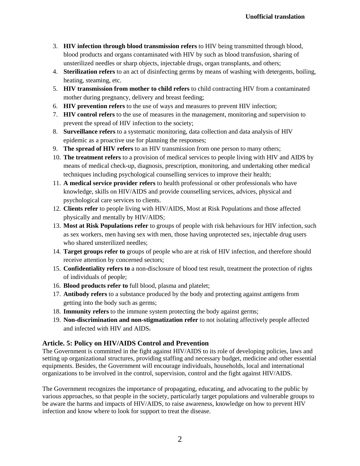- 3. **HIV infection through blood transmission refers** to HIV being transmitted through blood, blood products and organs contaminated with HIV by such as blood transfusion, sharing of unsterilized needles or sharp objects, injectable drugs, organ transplants, and others;
- 4. **Sterilization refers** to an act of disinfecting germs by means of washing with detergents, boiling, heating, steaming, etc.
- 5. **HIV transmission from mother to child refers** to child contracting HIV from a contaminated mother during pregnancy, delivery and breast feeding;
- 6. **HIV prevention refers** to the use of ways and measures to prevent HIV infection;
- 7. **HIV control refers** to the use of measures in the management, monitoring and supervision to prevent the spread of HIV infection to the society;
- 8. **Surveillance refers** to a systematic monitoring, data collection and data analysis of HIV epidemic as a proactive use for planning the responses;
- 9. **The spread of HIV refers** to an HIV transmission from one person to many others;
- 10. **The treatment refers** to a provision of medical services to people living with HIV and AIDS by means of medical check-up, diagnosis, prescription, monitoring, and undertaking other medical techniques including psychological counselling services to improve their health;
- 11. **A medical service provider refers** to health professional or other professionals who have knowledge, skills on HIV/AIDS and provide counselling services, advices, physical and psychological care services to clients.
- 12. **Clients refer** to people living with HIV/AIDS, Most at Risk Populations and those affected physically and mentally by HIV/AIDS;
- 13. **Most at Risk Populations refer** to groups of people with risk behaviours for HIV infection, such as sex workers, men having sex with men, those having unprotected sex, injectable drug users who shared unsterilized needles;
- 14. **Target groups refer to** groups of people who are at risk of HIV infection, and therefore should receive attention by concerned sectors;
- 15. **Confidentiality refers to** a non-disclosure of blood test result, treatment the protection of rights of individuals of people;
- 16. **Blood products refer to** full blood, plasma and platelet;
- 17. **Antibody refers** to a substance produced by the body and protecting against antigens from getting into the body such as germs;
- 18. **Immunity refers** to the immune system protecting the body against germs;
- 19. **Non-discrimination and non-stigmatization refer** to not isolating affectively people affected and infected with HIV and AIDS.

## **Article. 5: Policy on HIV/AIDS Control and Prevention**

The Government is committed in the fight against HIV/AIDS to its role of developing policies, laws and setting up organizational structures, providing staffing and necessary budget, medicine and other essential equipments. Besides, the Government will encourage individuals, households, local and international organizations to be involved in the control, supervision, control and the fight against HIV/AIDS.

The Government recognizes the importance of propagating, educating, and advocating to the public by various approaches, so that people in the society, particularly target populations and vulnerable groups to be aware the harms and impacts of HIV/AIDS, to raise awareness, knowledge on how to prevent HIV infection and know where to look for support to treat the disease.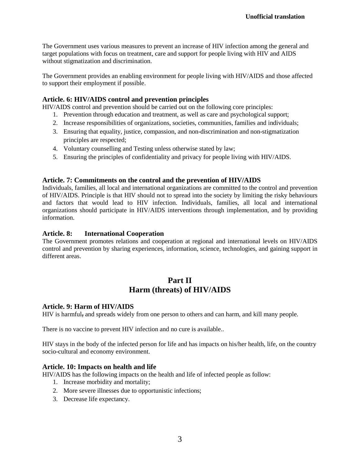The Government uses various measures to prevent an increase of HIV infection among the general and target populations with focus on treatment, care and support for people living with HIV and AIDS without stigmatization and discrimination.

The Government provides an enabling environment for people living with HIV/AIDS and those affected to support their employment if possible.

### **Article. 6: HIV/AIDS control and prevention principles**

HIV/AIDS control and prevention should be carried out on the following core principles:

- 1. Prevention through education and treatment, as well as care and psychological support;
- 2. Increase responsibilities of organizations, societies, communities, families and individuals;
- 3. Ensuring that equality, justice, compassion, and non-discrimination and non-stigmatization principles are respected;
- 4. Voluntary counselling and Testing unless otherwise stated by law;
- 5. Ensuring the principles of confidentiality and privacy for people living with HIV/AIDS.

#### **Article. 7: Commitments on the control and the prevention of HIV/AIDS**

Individuals, families, all local and international organizations are committed to the control and prevention of HIV/AIDS. Principle is that HIV should not to spread into the society by limiting the risky behaviours and factors that would lead to HIV infection. Individuals, families, all local and international organizations should participate in HIV/AIDS interventions through implementation, and by providing information.

#### **Article. 8: International Cooperation**

The Government promotes relations and cooperation at regional and international levels on HIV/AIDS control and prevention by sharing experiences, information, science, technologies, and gaining support in different areas.

## **Part II Harm (threats) of HIV/AIDS**

#### **Article. 9: Harm of HIV/AIDS**

HIV is harmful, and spreads widely from one person to others and can harm, and kill many people.

There is no vaccine to prevent HIV infection and no cure is available..

HIV stays in the body of the infected person for life and has impacts on his/her health, life, on the country socio-cultural and economy environment.

#### **Article. 10: Impacts on health and life**

HIV/AIDS has the following impacts on the health and life of infected people as follow:

- 1. Increase morbidity and mortality;
- 2. More severe illnesses due to opportunistic infections;
- 3. Decrease life expectancy.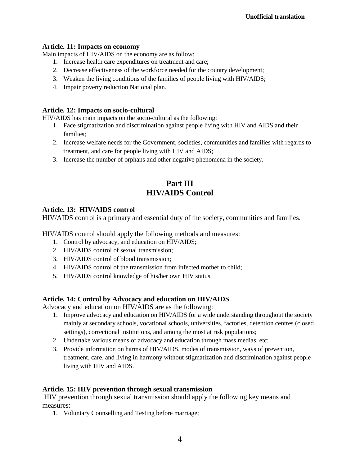### **Article. 11: Impacts on economy**

Main impacts of HIV/AIDS on the economy are as follow:

- 1. Increase health care expenditures on treatment and care;
- 2. Decrease effectiveness of the workforce needed for the country development;
- 3. Weaken the living conditions of the families of people living with HIV/AIDS;
- 4. Impair poverty reduction National plan.

## **Article. 12: Impacts on socio-cultural**

HIV/AIDS has main impacts on the socio-cultural as the following:

- 1. Face stigmatization and discrimination against people living with HIV and AIDS and their families;
- 2. Increase welfare needs for the Government, societies, communities and families with regards to treatment, and care for people living with HIV and AIDS;
- 3. Increase the number of orphans and other negative phenomena in the society.

# **Part III HIV/AIDS Control**

## **Article. 13: HIV/AIDS control**

HIV/AIDS control is a primary and essential duty of the society, communities and families.

HIV/AIDS control should apply the following methods and measures:

- 1. Control by advocacy, and education on HIV/AIDS;
- 2. HIV/AIDS control of sexual transmission;
- 3. HIV/AIDS control of blood transmission;
- 4. HIV/AIDS control of the transmission from infected mother to child;
- 5. HIV/AIDS control knowledge of his/her own HIV status.

### **Article. 14: Control by Advocacy and education on HIV/AIDS**

Advocacy and education on HIV/AIDS are as the following:

- 1. Improve advocacy and education on HIV/AIDS for a wide understanding throughout the society mainly at secondary schools, vocational schools, universities, factories, detention centres (closed settings), correctional institutions, and among the most at risk populations;
- 2. Undertake various means of advocacy and education through mass medias, etc;
- 3. Provide information on harms of HIV/AIDS, modes of transmission, ways of prevention, treatment, care, and living in harmony without stigmatization and discrimination against people living with HIV and AIDS.

### **Article. 15: HIV prevention through sexual transmission**

HIV prevention through sexual transmission should apply the following key means and measures:

1. Voluntary Counselling and Testing before marriage;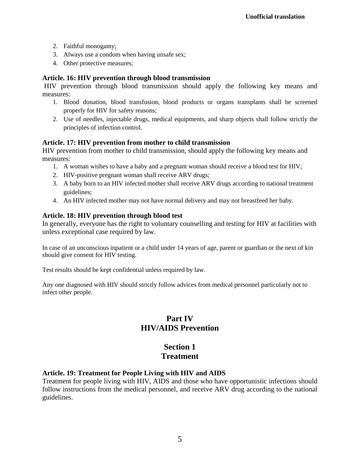- 2. Faithful monogamy;
- 3. Always use a condom when having unsafe sex;
- 4. Other protective measures;

## **Article. 16: HIV prevention through blood transmission**

HIV prevention through blood transmission should apply the following key means and measures:

- 1. Blood donation, blood transfusion, blood products or organs transplants shall be screened properly for HIV for safety reasons;
- 2. Use of needles, injectable drugs, medical equipments, and sharp objects shall follow strictly the principles of infection control.

## **Article. 17: HIV prevention from mother to child transmission**

HIV prevention from mother to child transmission, should apply the following key means and measures:

- 1. A woman wishes to have a baby and a pregnant woman should receive a blood test for HIV;
- 2. HIV-positive pregnant woman shall receive ARV drugs;
- 3. A baby born to an HIV infected mother shall receive ARV drugs according to national treatment guidelines;
- 4. An HIV infected mother may not have normal delivery and may not breastfeed her baby.

## **Article. 18: HIV prevention through blood test**

In generally, everyone has the right to voluntary counselling and testing for HIV at facilities with unless exceptional case required by law.

In case of an unconscious inpatient or a child under 14 years of age, parent or guardian or the next of kin should give consent for HIV testing.

Test results should be kept confidential unless required by law.

Any one diagnosed with HIV should strictly follow advices from medical personnel particularly not to infect other people.

# **Part IV HIV/AIDS Prevention**

# **Section 1 Treatment**

## **Article. 19: Treatment for People Living with HIV and AIDS**

Treatment for people living with HIV, AIDS and those who have opportunistic infections should follow instructions from the medical personnel, and receive ARV drug according to the national guidelines.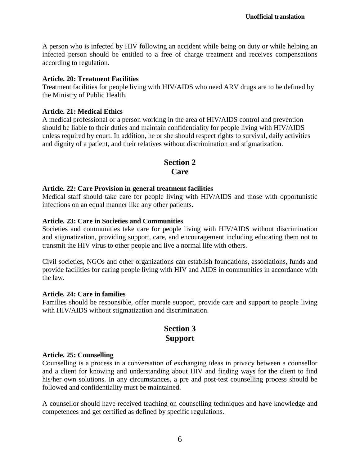A person who is infected by HIV following an accident while being on duty or while helping an infected person should be entitled to a free of charge treatment and receives compensations according to regulation.

### **Article. 20: Treatment Facilities**

Treatment facilities for people living with HIV/AIDS who need ARV drugs are to be defined by the Ministry of Public Health.

## **Article. 21: Medical Ethics**

A medical professional or a person working in the area of HIV/AIDS control and prevention should be liable to their duties and maintain confidentiality for people living with HIV/AIDS unless required by court. In addition, he or she should respect rights to survival, daily activities and dignity of a patient, and their relatives without discrimination and stigmatization.

## **Section 2 Care**

## **Article. 22: Care Provision in general treatment facilities**

Medical staff should take care for people living with HIV/AIDS and those with opportunistic infections on an equal manner like any other patients.

## **Article. 23: Care in Societies and Communities**

Societies and communities take care for people living with HIV/AIDS without discrimination and stigmatization, providing support, care, and encouragement including educating them not to transmit the HIV virus to other people and live a normal life with others.

Civil societies, NGOs and other organizations can establish foundations, associations, funds and provide facilities for caring people living with HIV and AIDS in communities in accordance with the law.

### **Article. 24: Care in families**

Families should be responsible, offer morale support, provide care and support to people living with HIV/AIDS without stigmatization and discrimination.

# **Section 3 Support**

### **Article. 25: Counselling**

Counselling is a process in a conversation of exchanging ideas in privacy between a counsellor and a client for knowing and understanding about HIV and finding ways for the client to find his/her own solutions. In any circumstances, a pre and post-test counselling process should be followed and confidentiality must be maintained.

A counsellor should have received teaching on counselling techniques and have knowledge and competences and get certified as defined by specific regulations.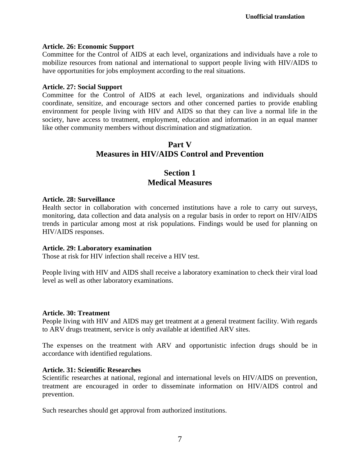### **Article. 26: Economic Support**

Committee for the Control of AIDS at each level, organizations and individuals have a role to mobilize resources from national and international to support people living with HIV/AIDS to have opportunities for jobs employment according to the real situations.

#### **Article. 27: Social Support**

Committee for the Control of AIDS at each level, organizations and individuals should coordinate, sensitize, and encourage sectors and other concerned parties to provide enabling environment for people living with HIV and AIDS so that they can live a normal life in the society, have access to treatment, employment, education and information in an equal manner like other community members without discrimination and stigmatization.

## **Part V Measures in HIV/AIDS Control and Prevention**

## **Section 1 Medical Measures**

### **Article. 28: Surveillance**

Health sector in collaboration with concerned institutions have a role to carry out surveys, monitoring, data collection and data analysis on a regular basis in order to report on HIV/AIDS trends in particular among most at risk populations. Findings would be used for planning on HIV/AIDS responses.

#### **Article. 29: Laboratory examination**

Those at risk for HIV infection shall receive a HIV test.

People living with HIV and AIDS shall receive a laboratory examination to check their viral load level as well as other laboratory examinations.

#### **Article. 30: Treatment**

People living with HIV and AIDS may get treatment at a general treatment facility. With regards to ARV drugs treatment, service is only available at identified ARV sites.

The expenses on the treatment with ARV and opportunistic infection drugs should be in accordance with identified regulations.

#### **Article. 31: Scientific Researches**

Scientific researches at national, regional and international levels on HIV/AIDS on prevention, treatment are encouraged in order to disseminate information on HIV/AIDS control and prevention.

Such researches should get approval from authorized institutions.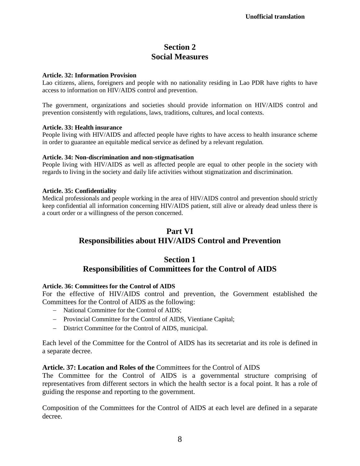# **Section 2 Social Measures**

#### **Article. 32: Information Provision**

Lao citizens, aliens, foreigners and people with no nationality residing in Lao PDR have rights to have access to information on HIV/AIDS control and prevention.

The government, organizations and societies should provide information on HIV/AIDS control and prevention consistently with regulations, laws, traditions, cultures, and local contexts.

#### **Article. 33: Health insurance**

People living with HIV/AIDS and affected people have rights to have access to health insurance scheme in order to guarantee an equitable medical service as defined by a relevant regulation.

#### **Article. 34: Non-discrimination and non-stigmatisation**

People living with HIV/AIDS as well as affected people are equal to other people in the society with regards to living in the society and daily life activities without stigmatization and discrimination.

#### **Article. 35: Confidentiality**

Medical professionals and people working in the area of HIV/AIDS control and prevention should strictly keep confidential all information concerning HIV/AIDS patient, still alive or already dead unless there is a court order or a willingness of the person concerned.

# **Part VI Responsibilities about HIV/AIDS Control and Prevention**

## **Section 1 Responsibilities of Committees for the Control of AIDS**

### **Article. 36: Committees for the Control of AIDS**

For the effective of HIV/AIDS control and prevention, the Government established the Committees for the Control of AIDS as the following:

- − National Committee for the Control of AIDS;
- − Provincial Committee for the Control of AIDS, Vientiane Capital;
- − District Committee for the Control of AIDS, municipal.

Each level of the Committee for the Control of AIDS has its secretariat and its role is defined in a separate decree.

### **Article. 37: Location and Roles of the** Committees for the Control of AIDS

The Committee for the Control of AIDS is a governmental structure comprising of representatives from different sectors in which the health sector is a focal point. It has a role of guiding the response and reporting to the government.

Composition of the Committees for the Control of AIDS at each level are defined in a separate decree.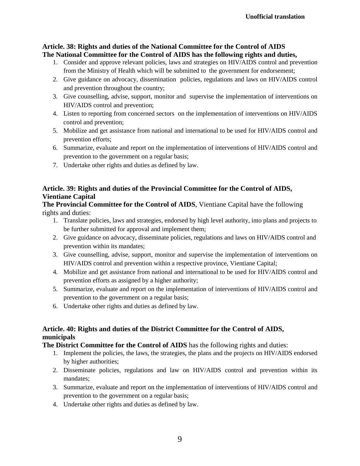## **Article. 38: Rights and duties of the National Committee for the Control of AIDS The National Committee for the Control of AIDS has the following rights and duties,**

- 1. Consider and approve relevant policies, laws and strategies on HIV/AIDS control and prevention from the Ministry of Health which will be submitted to the government for endorsement;
- 2. Give guidance on advocacy, dissemination policies, regulations and laws on HIV/AIDS control and prevention throughout the country;
- 3. Give counselling, advise, support, monitor and supervise the implementation of interventions on HIV/AIDS control and prevention;
- 4. Listen to reporting from concerned sectors on the implementation of interventions on HIV/AIDS control and prevention;
- 5. Mobilize and get assistance from national and international to be used for HIV/AIDS control and prevention efforts;
- 6. Summarize, evaluate and report on the implementation of interventions of HIV/AIDS control and prevention to the government on a regular basis;
- 7. Undertake other rights and duties as defined by law.

## **Article. 39: Rights and duties of the Provincial Committee for the Control of AIDS, Vientiane Capital**

**The Provincial Committee for the Control of AIDS**, Vientiane Capital have the following rights and duties:

- 1. Translate policies, laws and strategies, endorsed by high level authority, into plans and projects to be further submitted for approval and implement them;
- 2. Give guidance on advocacy, disseminate policies, regulations and laws on HIV/AIDS control and prevention within its mandates;
- 3. Give counselling, advise, support, monitor and supervise the implementation of interventions on HIV/AIDS control and prevention within a respective province, Vientiane Capital;
- 4. Mobilize and get assistance from national and international to be used for HIV/AIDS control and prevention efforts as assigned by a higher authority;
- 5. Summarize, evaluate and report on the implementation of interventions of HIV/AIDS control and prevention to the government on a regular basis;
- 6. Undertake other rights and duties as defined by law.

## **Article. 40: Rights and duties of the District Committee for the Control of AIDS, municipals**

**The District Committee for the Control of AIDS** has the following rights and duties:

- 1. Implement the policies, the laws, the strategies, the plans and the projects on HIV/AIDS endorsed by higher authorities;
- 2. Disseminate policies, regulations and law on HIV/AIDS control and prevention within its mandates;
- 3. Summarize, evaluate and report on the implementation of interventions of HIV/AIDS control and prevention to the government on a regular basis;
- 4. Undertake other rights and duties as defined by law.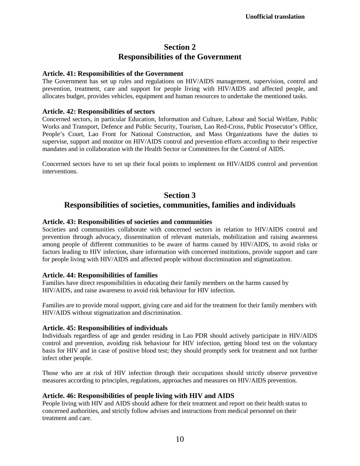# **Section 2 Responsibilities of the Government**

### **Article. 41: Responsibilities of the Government**

The Government has set up rules and regulations on HIV/AIDS management, supervision, control and prevention, treatment, care and support for people living with HIV/AIDS and affected people, and allocates budget, provides vehicles, equipment and human resources to undertake the mentioned tasks.

### **Article. 42: Responsibilities of sectors**

Concerned sectors, in particular Education, Information and Culture, Labour and Social Welfare, Public Works and Transport, Defence and Public Security, Tourism, Lao Red-Cross, Public Prosecutor's Office, People's Court, Lao Front for National Construction, and Mass Organizations have the duties to supervise, support and monitor on HIV/AIDS control and prevention efforts according to their respective mandates and in collaboration with the Health Sector or Committees for the Control of AIDS.

Concerned sectors have to set up their focal points to implement on HIV/AIDS control and prevention interventions.

## **Section 3**

# **Responsibilities of societies, communities, families and individuals**

## **Article. 43: Responsibilities of societies and communities**

Societies and communities collaborate with concerned sectors in relation to HIV/AIDS control and prevention through advocacy, dissemination of relevant materials, mobilization and raising awareness among people of different communities to be aware of harms caused by HIV/AIDS, to avoid risks or factors leading to HIV infection, share information with concerned institutions, provide support and care for people living with HIV/AIDS and affected people without discrimination and stigmatization.

### **Article. 44: Responsibilities of families**

Families have direct responsibilities in educating their family members on the harms caused by HIV/AIDS, and raise awareness to avoid risk behaviour for HIV infection.

Families are to provide moral support, giving care and aid for the treatment for their family members with HIV/AIDS without stigmatization and discrimination.

### **Article. 45: Responsibilities of individuals**

Individuals regardless of age and gender residing in Lao PDR should actively participate in HIV/AIDS control and prevention, avoiding risk behaviour for HIV infection, getting blood test on the voluntary basis for HIV and in case of positive blood test; they should promptly seek for treatment and not further infect other people.

Those who are at risk of HIV infection through their occupations should strictly observe preventive measures according to principles, regulations, approaches and measures on HIV/AIDS prevention.

## **Article. 46: Responsibilities of people living with HIV and AIDS**

People living with HIV and AIDS should adhere for their treatment and report on their health status to concerned authorities, and strictly follow advises and instructions from medical personnel on their treatment and care.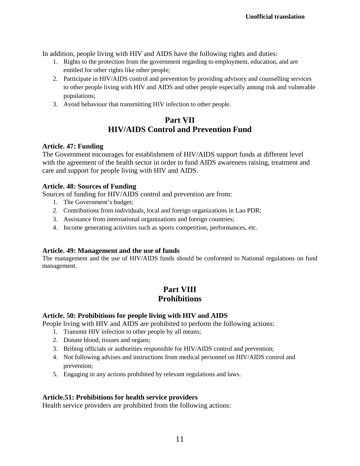In addition, people living with HIV and AIDS have the following rights and duties:

- 1. Rights to the protection from the government regarding to employment, education, and are entitled for other rights like other people;
- 2. Participate in HIV/AIDS control and prevention by providing advisory and counselling services to other people living with HIV and AIDS and other people especially among risk and vulnerable populations;
- 3. Avoid behaviour that transmitting HIV infection to other people.

# **Part VII HIV/AIDS Control and Prevention Fund**

## **Article. 47: Funding**

The Government encourages for establishment of HIV/AIDS support funds at different level with the agreement of the health sector in order to fund AIDS awareness raising, treatment and care and support for people living with HIV and AIDS.

## **Article. 48: Sources of Funding**

Sources of funding for HIV/AIDS control and prevention are from:

- 1. The Government's budget;
- 2. Contributions from individuals, local and foreign organizations in Lao PDR;
- 3. Assistance from international organizations and foreign countries;
- 4. Income generating activities such as sports competition, performances, etc.

## **Article. 49: Management and the use of funds**

The management and the use of HIV/AIDS funds should be conformed to National regulations on fund management.

# **Part VIII Prohibitions**

## **Article. 50: Prohibitions for people living with HIV and AIDS**

People living with HIV and AIDS are prohibited to perform the following actions:

- 1. Transmit HIV infection to other people by all means;
- 2. Donate blood, tissues and organs;
- 3. Bribing officials or authorities responsible for HIV/AIDS control and prevention;
- 4. Not following advises and instructions from medical personnel on HIV/AIDS control and prevention;
- 5. Engaging in any actions prohibited by relevant regulations and laws.

## **Article.51: Prohibitions for health service providers**

Health service providers are prohibited from the following actions: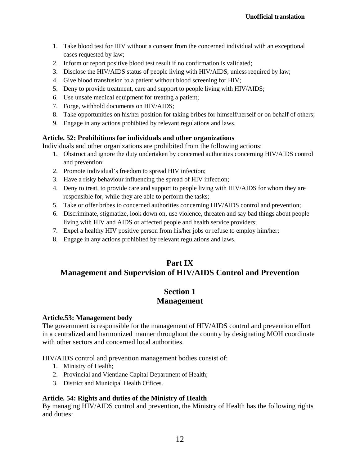- 1. Take blood test for HIV without a consent from the concerned individual with an exceptional cases requested by law;
- 2. Inform or report positive blood test result if no confirmation is validated;
- 3. Disclose the HIV/AIDS status of people living with HIV/AIDS, unless required by law;
- 4. Give blood transfusion to a patient without blood screening for HIV;
- 5. Deny to provide treatment, care and support to people living with HIV/AIDS;
- 6. Use unsafe medical equipment for treating a patient;
- 7. Forge, withhold documents on HIV/AIDS;
- 8. Take opportunities on his/her position for taking bribes for himself/herself or on behalf of others;
- 9. Engage in any actions prohibited by relevant regulations and laws.

## **Article. 52: Prohibitions for individuals and other organizations**

Individuals and other organizations are prohibited from the following actions:

- 1. Obstruct and ignore the duty undertaken by concerned authorities concerning HIV/AIDS control and prevention;
- 2. Promote individual's freedom to spread HIV infection;
- 3. Have a risky behaviour influencing the spread of HIV infection;
- 4. Deny to treat, to provide care and support to people living with HIV/AIDS for whom they are responsible for, while they are able to perform the tasks;
- 5. Take or offer bribes to concerned authorities concerning HIV/AIDS control and prevention;
- 6. Discriminate, stigmatize, look down on, use violence, threaten and say bad things about people living with HIV and AIDS or affected people and health service providers;
- 7. Expel a healthy HIV positive person from his/her jobs or refuse to employ him/her;
- 8. Engage in any actions prohibited by relevant regulations and laws.

# **Part IX Management and Supervision of HIV/AIDS Control and Prevention**

## **Section 1 Management**

### **Article.53: Management body**

The government is responsible for the management of HIV/AIDS control and prevention effort in a centralized and harmonized manner throughout the country by designating MOH coordinate with other sectors and concerned local authorities.

HIV/AIDS control and prevention management bodies consist of:

- 1. Ministry of Health;
- 2. Provincial and Vientiane Capital Department of Health;
- 3. District and Municipal Health Offices.

## **Article. 54: Rights and duties of the Ministry of Health**

By managing HIV/AIDS control and prevention, the Ministry of Health has the following rights and duties: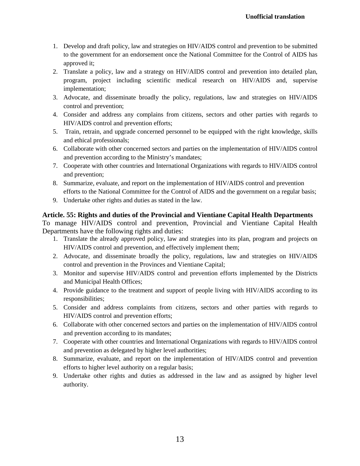- 1. Develop and draft policy, law and strategies on HIV/AIDS control and prevention to be submitted to the government for an endorsement once the National Committee for the Control of AIDS has approved it;
- 2. Translate a policy, law and a strategy on HIV/AIDS control and prevention into detailed plan, program, project including scientific medical research on HIV/AIDS and, supervise implementation;
- 3. Advocate, and disseminate broadly the policy, regulations, law and strategies on HIV/AIDS control and prevention;
- 4. Consider and address any complains from citizens, sectors and other parties with regards to HIV/AIDS control and prevention efforts;
- 5. Train, retrain, and upgrade concerned personnel to be equipped with the right knowledge, skills and ethical professionals;
- 6. Collaborate with other concerned sectors and parties on the implementation of HIV/AIDS control and prevention according to the Ministry's mandates;
- 7. Cooperate with other countries and International Organizations with regards to HIV/AIDS control and prevention;
- 8. Summarize, evaluate, and report on the implementation of HIV/AIDS control and prevention efforts to the National Committee for the Control of AIDS and the government on a regular basis;
- 9. Undertake other rights and duties as stated in the law.

## **Article. 55: Rights and duties of the Provincial and Vientiane Capital Health Departments**

To manage HIV/AIDS control and prevention, Provincial and Vientiane Capital Health Departments have the following rights and duties:

- 1. Translate the already approved policy, law and strategies into its plan, program and projects on HIV/AIDS control and prevention, and effectively implement them;
- 2. Advocate, and disseminate broadly the policy, regulations, law and strategies on HIV/AIDS control and prevention in the Provinces and Vientiane Capital;
- 3. Monitor and supervise HIV/AIDS control and prevention efforts implemented by the Districts and Municipal Health Offices;
- 4. Provide guidance to the treatment and support of people living with HIV/AIDS according to its responsibilities;
- 5. Consider and address complaints from citizens, sectors and other parties with regards to HIV/AIDS control and prevention efforts;
- 6. Collaborate with other concerned sectors and parties on the implementation of HIV/AIDS control and prevention according to its mandates;
- 7. Cooperate with other countries and International Organizations with regards to HIV/AIDS control and prevention as delegated by higher level authorities;
- 8. Summarize, evaluate, and report on the implementation of HIV/AIDS control and prevention efforts to higher level authority on a regular basis;
- 9. Undertake other rights and duties as addressed in the law and as assigned by higher level authority.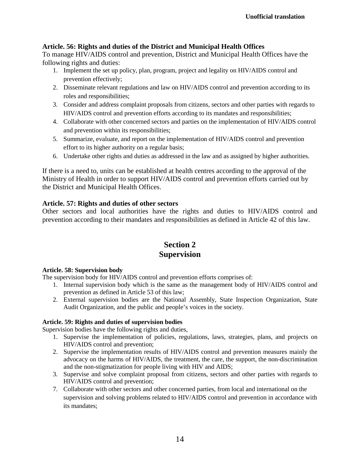## **Article. 56: Rights and duties of the District and Municipal Health Offices**

To manage HIV/AIDS control and prevention, District and Municipal Health Offices have the following rights and duties:

- 1. Implement the set up policy, plan, program, project and legality on HIV/AIDS control and prevention effectively;
- 2. Disseminate relevant regulations and law on HIV/AIDS control and prevention according to its roles and responsibilities;
- 3. Consider and address complaint proposals from citizens, sectors and other parties with regards to HIV/AIDS control and prevention efforts according to its mandates and responsibilities;
- 4. Collaborate with other concerned sectors and parties on the implementation of HIV/AIDS control and prevention within its responsibilities;
- 5. Summarize, evaluate, and report on the implementation of HIV/AIDS control and prevention effort to its higher authority on a regular basis;
- 6. Undertake other rights and duties as addressed in the law and as assigned by higher authorities.

If there is a need to, units can be established at health centres according to the approval of the Ministry of Health in order to support HIV/AIDS control and prevention efforts carried out by the District and Municipal Health Offices.

## **Article. 57: Rights and duties of other sectors**

Other sectors and local authorities have the rights and duties to HIV/AIDS control and prevention according to their mandates and responsibilities as defined in Article 42 of this law.

## **Section 2 Supervision**

### **Article. 58: Supervision body**

The supervision body for HIV/AIDS control and prevention efforts comprises of:

- 1. Internal supervision body which is the same as the management body of HIV/AIDS control and prevention as defined in Article 53 of this law;
- 2. External supervision bodies are the National Assembly, State Inspection Organization, State Audit Organization, and the public and people's voices in the society.

### **Article. 59: Rights and duties of supervision bodies**

Supervision bodies have the following rights and duties,

- 1. Supervise the implementation of policies, regulations, laws, strategies, plans, and projects on HIV/AIDS control and prevention;
- 2. Supervise the implementation results of HIV/AIDS control and prevention measures mainly the advocacy on the harms of HIV/AIDS, the treatment, the care, the support, the non-discrimination and the non-stigmatization for people living with HIV and AIDS;
- 3. Supervise and solve complaint proposal from citizens, sectors and other parties with regards to HIV/AIDS control and prevention;
- 7. Collaborate with other sectors and other concerned parties, from local and international on the supervision and solving problems related to HIV/AIDS control and prevention in accordance with its mandates;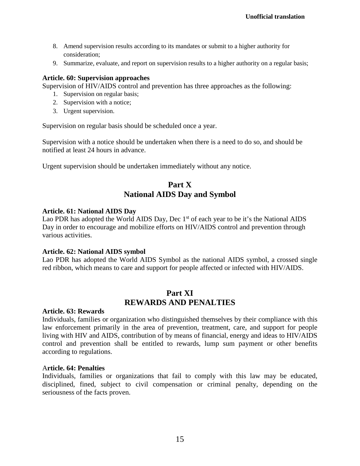- 8. Amend supervision results according to its mandates or submit to a higher authority for consideration;
- 9. Summarize, evaluate, and report on supervision results to a higher authority on a regular basis;

### **Article. 60: Supervision approaches**

Supervision of HIV/AIDS control and prevention has three approaches as the following:

- 1. Supervision on regular basis;
- 2. Supervision with a notice;
- 3. Urgent supervision.

Supervision on regular basis should be scheduled once a year.

Supervision with a notice should be undertaken when there is a need to do so, and should be notified at least 24 hours in advance.

Urgent supervision should be undertaken immediately without any notice.

# **Part X National AIDS Day and Symbol**

### **Article. 61: National AIDS Day**

Lao PDR has adopted the World AIDS Day, Dec  $1<sup>st</sup>$  of each year to be it's the National AIDS Day in order to encourage and mobilize efforts on HIV/AIDS control and prevention through various activities.

### **Article. 62: National AIDS symbol**

Lao PDR has adopted the World AIDS Symbol as the national AIDS symbol, a crossed single red ribbon, which means to care and support for people affected or infected with HIV/AIDS.

## **Part XI REWARDS AND PENALTIES**

#### **Article. 63: Rewards**

Individuals, families or organization who distinguished themselves by their compliance with this law enforcement primarily in the area of prevention, treatment, care, and support for people living with HIV and AIDS, contribution of by means of financial, energy and ideas to HIV/AIDS control and prevention shall be entitled to rewards, lump sum payment or other benefits according to regulations.

#### A**rticle. 64: Penalties**

Individuals, families or organizations that fail to comply with this law may be educated, disciplined, fined, subject to civil compensation or criminal penalty, depending on the seriousness of the facts proven.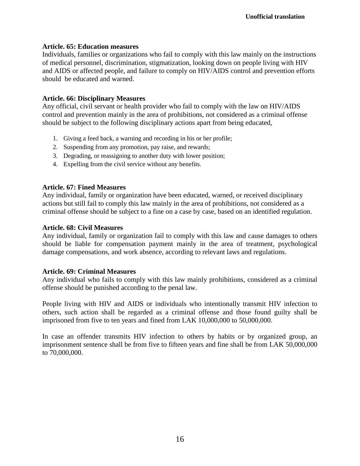## **Article. 65: Education measures**

Individuals, families or organizations who fail to comply with this law mainly on the instructions of medical personnel, discrimination, stigmatization, looking down on people living with HIV and AIDS or affected people, and failure to comply on HIV/AIDS control and prevention efforts should be educated and warned.

## **Article. 66: Disciplinary Measures**

Any official, civil servant or health provider who fail to comply with the law on HIV/AIDS control and prevention mainly in the area of prohibitions, not considered as a criminal offense should be subject to the following disciplinary actions apart from being educated,

- 1. Giving a feed back, a warning and recording in his or her profile;
- 2. Suspending from any promotion, pay raise, and rewards;
- 3. Degrading, or reassigning to another duty with lower position;
- 4. Expelling from the civil service without any benefits.

## **Article. 67: Fined Measures**

Any individual, family or organization have been educated, warned, or received disciplinary actions but still fail to comply this law mainly in the area of prohibitions, not considered as a criminal offense should be subject to a fine on a case by case, based on an identified regulation.

## **Article. 68: Civil Measures**

Any individual, family or organization fail to comply with this law and cause damages to others should be liable for compensation payment mainly in the area of treatment, psychological damage compensations, and work absence, according to relevant laws and regulations.

### **Article. 69: Criminal Measures**

Any individual who fails to comply with this law mainly prohibitions, considered as a criminal offense should be punished according to the penal law.

People living with HIV and AIDS or individuals who intentionally transmit HIV infection to others, such action shall be regarded as a criminal offense and those found guilty shall be imprisoned from five to ten years and fined from LAK 10,000,000 to 50,000,000.

In case an offender transmits HIV infection to others by habits or by organized group, an imprisonment sentence shall be from five to fifteen years and fine shall be from LAK 50,000,000 to 70,000,000.